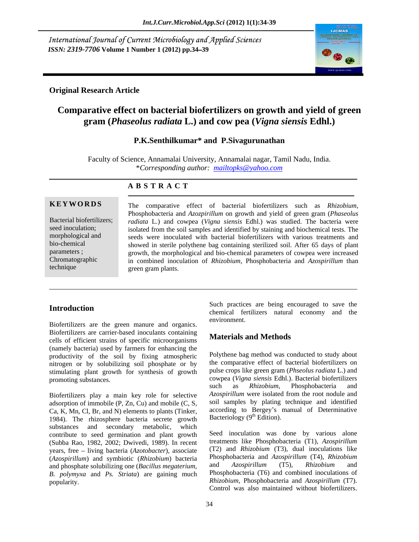International Journal of Current Microbiology and Applied Sciences *ISSN: 2319-7706* **Volume 1 Number 1 (2012) pp.34 39**



## **Original Research Article**

# **Comparative effect on bacterial biofertilizers on growth and yield of green gram (***Phaseolus radiata* **L.) and cow pea (***Vigna siensis* **Edhl.)**

# **P.K.Senthilkumar\* and P.Sivagurunathan**

Faculty of Science, Annamalai University, Annamalai nagar, Tamil Nadu, India. \**Corresponding author: mailtopks@yahoo.com*

### **A B S T R A C T**

**KEYWORDS** The comparative effect of bacterial biofertilizers such as Rhizobium, Bacterial biofertilizers; *radiata* L.) and cowpea (*Vigna siensis* Edhl.) was studied. The bacteria were seed inoculation; isolated from the soil samples and identified by staining and biochemical tests. The morphological and seeds were inoculated with bacterial biofertilizers with various treatments and bio-chemical showed in sterile polythene bag containing sterilized soil. After 65 days of plant parameters ; express the morphological and bio-chemical parameters of cowpea were increased Chromatographic in combined inoculation of *Rhizobium*, Phosphobacteria and *Azospirillum* than technique green gram plants. **EXEYWORDS** The comparative effect of bacterial biofertilizers such as *Rhizobium*, Phosphobacteria and *Azozpirillum* on growth and yield of green gram (*Phaseolus radiata* L.) and cowpea (*Vigna siensis* Edhl.) was studi green gram plants.

Biofertilizers are the green manure and organics. Biofertilizers are carrier-based inoculants containing cells of efficient strains of specific microorganisms (namely bacteria) used by farmers for enhancing the productivity of the soil by fixing atmospheric nitrogen or by solubilizing soil phosphate or by stimulating plant growth for synthesis of growth promoting substances.

adsorption of immobile (P, Zn, Cu) and mobile (C, S, Ca, K, Mn, Cl, Br, and N) elements to plants (Tinker, 1984). The rhizosphere bacteria secrete growth<br>substances and secondary metabolic, which substances and secondary metabolic, which contribute to seed germination and plant growth (Subba Rao, 1982, 2002; Dwivedi, 1989). In recent years, free - living bacteria (*Azotobacter*), associate (*Azospirillum*) and symbiotic (*Rhizobium*) bacteria and phosphate solubilizing one (*Bacillus megaterium, B. polymyxa* and *Ps. Striata*) are gaining much

**Introduction** and the change of the control of the control and the control of the control and the control of the control and the control of the control and the control of the control of the control of the control of the c Such practices are being encouraged to save the chemical fertilizers natural economy and the environment.

## **Materials and Methods**

promoting substances. The cowpea (*Vigna siensis* Edhl.). Bacterial biofertilizers Biofertilizers play a main key role for selective Azospirillum were isolated from the root nodule and Polythene bag method was conducted to study about the comparative effect of bacterial biofertilizers on pulse crops like green gram (*Phseolus radiata* L.) and such as *Rhizobium*, Phosphobacteria and *Azospirillum* were isolated from the root nodule and soil samples by plating technique and identified according to Bergey's manual of Determinative Bacteriology  $(9<sup>th</sup> Edition)$ .

popularity. *Rhizobium*, Phosphobacteria and *Azospirillum* (T7). Seed inoculation was done by various alone treatments like Phosphobacteria (T1), *Azospirillum*  (T2) and *Rhizobium* (T3), dual inoculations like Phosphobacteria and *Azospirillum* (T4), *Rhizobium*  and *Azospirillum* (T5), *Rhizobium* and Phosphobacteria (T6) and combined inoculations of Control was also maintained without biofertilizers.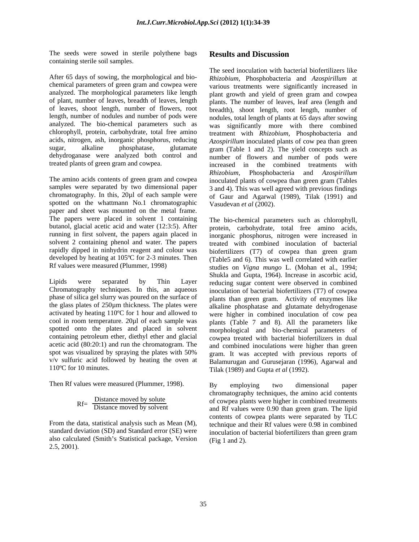The seeds were sowed in sterile polythene bags Results and Discussion containing sterile soil samples.

After 65 days of sowing, the morphologicaland bio- *Rhizobium*, Phosphobacteria and *Azospirillum* at chemical parameters of green gram and cowpea were various treatments were significantly increased in analyzed. The morphological parameters like length plant growth and yield of green gram and cowpea of plant, number of leaves, breadth of leaves, length of leaves, shoot length, number of flowers, root length, number of nodules and number of pods were analyzed. The bio-chemical parameters such as was significantly more with there combined chlorophyll, protein, carbohydrate, total free amino acids, nitrogen, ash, inorganic phosphorus, reducing *Azospirillum* inoculated plants of cow pea than green sugar, alkaline phosphatase, glutamate gram (Table 1 and 2). The yield concepts such as dehydroganase were analyzed both control and number of flowers and number of pods were

The amino acids contents of green gram and cowpea inoculated plants of cowpea than green gram (Tables samples were separated by two dimensional paper 3 and 4). This was well agreed with previous findings chromatography. In this, 20µ1 of each sample were of Gaur and Agarwal (1989), Tilak (1991) and spotted on the whattmann No.1 chromatographic paper and sheet was mounted on the metal frame. The papers were placed in solvent 1 containing butanol, glacial acetic acid and water (12:3:5). After running in first solvent, the papers again placed in rapidly dipped in ninhydrin reagent and colour was

Chromatography techniques. In this, an aqueous phase of silica gel slurry was poured on the surface of activated by heating 110°C for 1 hour and allowed to cool in room temperature. 20 $\mu$ l of each sample was v/v sulfuric acid followed by heating the oven at

$$
Rf = \frac{Distance \text{ moved by solute}}{Distance \text{ moved by solvent}}
$$

also calculated (Smith's Statistical package, Version (Fig 1 and 2).  $2.5, 2001$ ).

### **Results and Discussion**

treated plants of green gram and cowpea. increased in the combined treatments with The seed inoculation with bacterial biofertilizers like plants. The number of leaves, leaf area (length and breadth), shoot length, root length, number of nodules, total length of plants at 65 days after sowing treatment with *Rhizobium*, Phosphobacteria and *Rhizobium*, Phosphobacteria and *Azospirillum* Vasudevan *et al* (2002).

solvent 2 containing phenol and water. The papers treated with combined inoculation of bacterial developed by heating at 105ºC for 2-3 minutes. Then (Table5 and 6). This was well correlated with earlier Rf values were measured (Plummer, 1998) studies on *Vigna mungo* L. (Mohan et al., 1994; Lipids were separated by Thin Layer reducing sugar content were observed in combined phase of silica gel slurry was poured on the surface of plants than green gram. Activity of enzymes like the glass plates of 250µm thickness. The plates were alkaline phosphatase and glutamate dehydrogenase cool in room temperature. 20µl of each sample was plants (Table 7 and 8). All the parameters like spotted onto the plates and placed in solvent morphological and bio-chemical parameters of containing petroleum ether, diethyl ether and glacial cowpea treated with bacterial biofertilizers in dual acetic acid (80:20:1) and run the chromatogram. The and combined inoculations were higher than green spot was visualized by spraying the plates with 50% gram. It was accepted with previous reports of 110ºC for 10 minutes. Tilak (1989) and Gupta *et al* (1992). The bio-chemical parameters such as chlorophyll, protein, carbohydrate, total free amino acids, inorganic phosphorus, nitrogen were increased in biofertilizers (T7) of cowpea than green gram Shukla and Gupta, 1964). Increase in ascorbic acid, inoculation of bacterial biofertilizers (T7) of cowpea were higher in combined inoculation of cow pea Balamurugan and Gurusejaran (1996), Agarwal and

Then Rf values were measured (Plummer, 1998). By employing two dimensional paper chromatography techniques, the amino acid contents RfDistance moved by solute
of cowpea plants were higher in combined treatments  $N<sup>1</sup>$  Distance moved by solvent and Rf values were 0.90 than green gram. The lipid From the data, statistical analysis such as Mean  $(M)$ , technique and their Rf values were 0.98 in combined standard deviation (SD) and Standard error (SE) were inoculation of bacterial biofertilizers than green gram By employing two dimensional paper contents of cowpea plants were separated by TLC (Fig 1 and 2).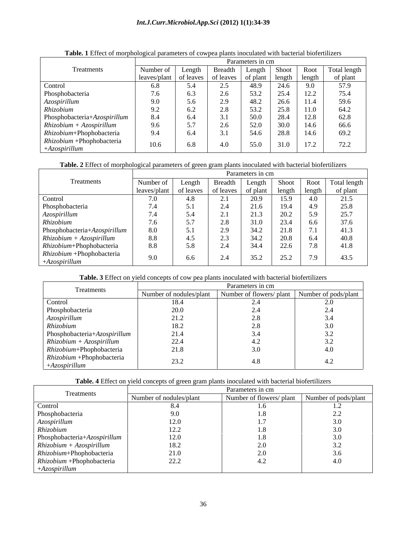#### *Int.J.Curr.Microbiol.App.Sci* **(2012) 1(1):34-39**

|                                              |                                                                     |           |     | Parameters in cm |       |      |      |
|----------------------------------------------|---------------------------------------------------------------------|-----------|-----|------------------|-------|------|------|
| Treatments                                   | Number of   Length   Breadth   Length   Shoot   Root   Total length |           |     |                  |       |      |      |
|                                              | leaves/plant of leaves of leaves of plant length length of plant    |           |     |                  |       |      |      |
| Control                                      | 6.8                                                                 |           | 2.5 | 48.9             | 24.6  | 9.0  | 57.9 |
|                                              | 7.6                                                                 | 6.3       | 2.6 | 53.2             | 2J.H  | 12.2 | 75.4 |
|                                              | 9.0                                                                 | 5.6       | 2.9 | 48.2             | 26.6  | 11.4 | 59.6 |
| Phosphobacteria<br>Azospirillum<br>Rhizobium | 9.2                                                                 | 6.2       | 2.8 | 53.2             | 2.3.0 | 11.0 | 64.2 |
| Phosphobacteria+Azospirillum                 | 8.4                                                                 | 6.4       | 3.1 | 50.0             | 40.4  | 12.8 | 62.8 |
| $Rhizobium + Azospirillum$                   | 9.6                                                                 | 57<br>J.1 | 2.6 | 52.0             | 30.0  | 14.6 | 66.6 |
| Rhizobium+Phophobacteria                     | 9.4                                                                 | 6.4       | 3.1 | 54.6             |       | 14.6 | 69.2 |
| $Rhizobium +Phophobacteria$                  | 10.6                                                                | 6.8       | 4.0 | 55.0             |       | 17.2 | 72.2 |
| $+Azospirillum$                              |                                                                     |           |     |                  | 31.0  |      |      |

### **Table. 1** Effect of morphological parameters of cowpea plants inoculated with bacterial biofertilizers

#### **Table. 2** Effect of morphological parameters of green gram plants inoculated with bacterial biofertilizers

|                                                                          |                                                                                   |                             |                | Parameters in cm |      |                         |                                                |
|--------------------------------------------------------------------------|-----------------------------------------------------------------------------------|-----------------------------|----------------|------------------|------|-------------------------|------------------------------------------------|
| Treatments                                                               | Number of                                                                         | Length                      |                |                  |      |                         | Breadth   Length   Shoot   Root   Total length |
|                                                                          | leaves/plant of leaves of leaves of plant length length 7.0 4.8 2.1 20.9 15.9 4.0 |                             |                |                  |      |                         | of plant                                       |
| Control                                                                  |                                                                                   |                             |                |                  |      |                         | 21.5                                           |
|                                                                          | 7.4                                                                               | $\lesssim$ 1                | 2.4            | 21.6             | 19.4 | 4.9                     | 25.8                                           |
|                                                                          | 7.4                                                                               | $\leq$ $\Lambda$            | $\gamma$ 1     | 21.3             | 20.2 | 5.9                     | 25.7                                           |
| Phosphobacteria<br>Azospirillum<br>Rhizobium                             | 7.6                                                                               | 57<br>$J \cdot I$           | 2.8            | 31.0             | 23.4 | 6.6                     | 37.6                                           |
| Phosphobacteria+Azospirillum                                             | $8.0\,$                                                                           | $\lesssim$ 1<br>$J \cdot I$ | 2.9            | 34.2             | 21.8 | 71<br>1.1               | 41.3                                           |
| $Rhizobium + Azospirillum$                                               | 8.8                                                                               |                             | 2 <sub>2</sub> | 34.2             | 20.8 | 6.4                     | 40.8                                           |
| Rhizobium+Phophobacteria                                                 | 8.8                                                                               | 5.8                         | 2.4            | 34.4             | 22.6 | 70<br>$\overline{1}$ .0 | 41.8                                           |
|                                                                          |                                                                                   |                             |                |                  |      | 70                      |                                                |
| $\begin{array}{l} Rhizobium +Phophobacteria\\ +Azospirillum \end{array}$ | 9.0                                                                               | 6.6                         | 2.4            | 35.2             | 25.2 | 1.7                     | 43.5                                           |

#### **Table. 3** Effect on yield concepts of cow pea plants inoculated with bacterial biofertilizers

|                                                             |                                 | Parameters in cm                                                     |  |
|-------------------------------------------------------------|---------------------------------|----------------------------------------------------------------------|--|
| Treatments                                                  |                                 | Number of nodules/plant Number of flowers/plant Number of pods/plant |  |
| Control                                                     | 18.4                            |                                                                      |  |
| Phosphobacteria                                             |                                 |                                                                      |  |
| Azospirillum                                                | $\overline{a}$ . $\overline{a}$ |                                                                      |  |
| Rhizobium                                                   | 18.2                            |                                                                      |  |
|                                                             | 21.4                            |                                                                      |  |
| $Rhosophobacteria + Azospirillum\nRhizobium + Azospirillum$ | 22.4                            |                                                                      |  |
| Rhizobium+Phophobacteria                                    | 21.8                            |                                                                      |  |
| Rhizobium +Phophobacteria                                   |                                 |                                                                      |  |
| $+Azospirillum$                                             | 23.2                            |                                                                      |  |

**Table. 4** Effect on yield concepts of green gram plants inoculated with bacterial biofertilizers

|                                                          |                         | Parameters in cm                              |  |
|----------------------------------------------------------|-------------------------|-----------------------------------------------|--|
| Treatments                                               | Number of nodules/plant | Number of flowers/ plant Number of pods/plant |  |
| Control                                                  |                         |                                               |  |
| Phosphobacteria                                          |                         | 1.8                                           |  |
| Azospirillum                                             | 12.0                    |                                               |  |
| Rhizobium                                                | $1 \angle . \angle$     |                                               |  |
|                                                          | 12.0                    |                                               |  |
| $Rhisphobacteria + AzospirillumRhizobium + Azospirillum$ | 18.2                    |                                               |  |
| Rhizobium+Phophobacteria                                 | 21.0                    |                                               |  |
| $Rhizobium +Phophobacteria$                              | 22.2                    |                                               |  |
| $+Azospirillum$                                          |                         |                                               |  |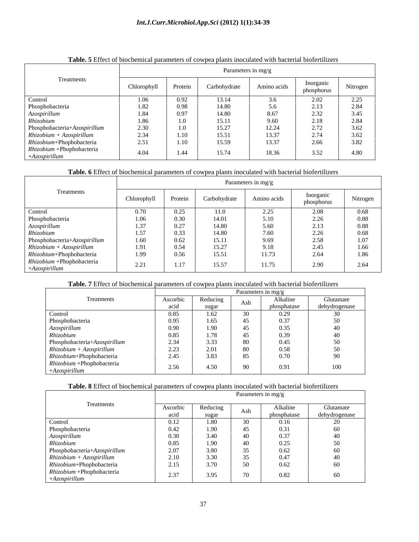#### *Int.J.Curr.Microbiol.App.Sci* **(2012) 1(1):34-39**

|                              | <b>Tuber</b> C Effect of crochemical parameters of compea plants moculated with cacterial croferingers |          |                    |                |                         |          |  |  |  |  |  |
|------------------------------|--------------------------------------------------------------------------------------------------------|----------|--------------------|----------------|-------------------------|----------|--|--|--|--|--|
|                              | Parameters in mg/g                                                                                     |          |                    |                |                         |          |  |  |  |  |  |
| Treatments                   | Chlorophyll                                                                                            | Protein  | Carbohydrate       | Amino acids    | Inorganic<br>phosphorus | Nitrogen |  |  |  |  |  |
| Control                      | .06                                                                                                    | 0.92     |                    | J.U            |                         | د.2.2    |  |  |  |  |  |
| Phosphobacteria              | 1.82                                                                                                   | $0.98\,$ | 14.80              | 5.6            | 2.13                    | 2.84     |  |  |  |  |  |
| Azospirillum                 | 1.84                                                                                                   | 0.97     | 14.80              | 8.67           | 2.52                    | 3.45     |  |  |  |  |  |
| Rhizobium                    | 1.86                                                                                                   | 1.0      | 15.11              | 9.60           | 2.10                    | 2.84     |  |  |  |  |  |
| Phosphobacteria+Azospirillum | $\sim$ 00<br>ں ب                                                                                       | 1.0      | 15.27              | 10.21<br>14.47 | 272<br>$\angle$ . 12    | 3.62     |  |  |  |  |  |
| $Rhizobium + Azospirillum$   | 24                                                                                                     | 1.10     | 15.51<br>$\ddotsc$ | 13.37          | 771                     |          |  |  |  |  |  |

#### **Table. 5** Effect of biochemical parameters of cowpea plants inoculated with bacterial biofertilizers

#### **Table. 6** Effect of biochemical parameters of cowpea plants inoculated with bacterial biofertilizers

*Rhizobium*+Phophobacteria | 2.51 | 1.10 | 15.59 | 13.37 | 2.66 | 3.82 |

+*Azospirillum* 1.1.0phobacidena 1.404 1.44 15.74 18.36 3.52 4.80

*Rhizobium* +Phophobacteria (104 144 1574 1926 252 490

| Treatments                                                  | Parameters in mg/g |         |              |             |                         |          |  |  |  |  |
|-------------------------------------------------------------|--------------------|---------|--------------|-------------|-------------------------|----------|--|--|--|--|
|                                                             | Chlorophyll        | Protein | Carbohydrate | Amino acids | Inorganic<br>phosphorus | Nitrogen |  |  |  |  |
| Control                                                     | 0.70               | 0.25    | 11.0         | 2.25        | 2.08                    | 0.68     |  |  |  |  |
| Phosphobacteria                                             | 1.06               | 0.30    | 14.01        | 5.10        | 2.26                    | 0.88     |  |  |  |  |
| $A z o$ spirillum                                           | .37                | 0.27    | 14.80        | 5.60        | 2.13                    | 0.88     |  |  |  |  |
| Rhizobium                                                   | 1.57               | 0.33    | 14.80        | 7.60        | 2.26                    | 0.68     |  |  |  |  |
| $Rhosophobacteria + Azospirillum\nRhizobium + Azospirillum$ | 1.60               | 0.62    | 15.11        | 9.69        | 2.58                    | 1.07     |  |  |  |  |
|                                                             | 1.91               | 0.54    | 15.27        | 9.18        | 2.45                    | 1.66     |  |  |  |  |
| Rhizobium+Phophobacteria                                    | 1.99               | 0.56    | 15.51        | 11.73       | 2.64                    | 1.86     |  |  |  |  |
| $Rhizobium +Phophobacteria$<br>$+Azospirillum$              | 2.21               | 1.17    | 15.57        | 11.75       | 2.90                    | 2.64     |  |  |  |  |

#### **Table. 7** Effect of biochemical parameters of cowpea plants inoculated with bacterial biofertilizers

|                                              |          |          | Parameters in mg/g |             |               |
|----------------------------------------------|----------|----------|--------------------|-------------|---------------|
| Treatments                                   | Ascorbic | Reducing | Ash                | Alkaline    | Glutamate     |
|                                              | acid     | sugar    |                    | phosphatase | dehydrogenase |
| Control                                      | 0.85     | 1.62     | 30                 | 0.29        |               |
| Phosphobacteria<br>Azospirillum<br>Rhizobium | 0.95     | 1.65     | $\epsilon$         | 0.37        |               |
|                                              | 0.90     | 1.90     |                    | 0.35        |               |
|                                              | 0.85     | 1.78     |                    | 0.39        |               |
| Phosphobacteria+Azospirillum                 | 2.34     | 3.33     | 80                 | 0.45        |               |
| $Rhizobium + Azospirillum$                   | 2.23     | 2.01     | 80                 | 0.58        |               |
| Rhizobium+Phophobacteria                     | 2.45     | 3.83     | 85                 | 0.70        | $\Omega$      |
| Rhizobium +Phophobacteria                    |          |          | $90^{\circ}$       |             |               |
| $+Azospirillum$                              | 2.56     | 4.50     |                    | 0.91        | 100           |

#### **Table. 8** Effect of biochemical parameters of cowpea plants inoculated with bacterial biofertilizers

|                                                                                                                            |                  |                   |     | Parameters in mg/g      |                            |
|----------------------------------------------------------------------------------------------------------------------------|------------------|-------------------|-----|-------------------------|----------------------------|
| Treatments                                                                                                                 | Ascorbic<br>acid | Reducing<br>sugar | Ash | Alkaline<br>phosphatase | Glutamate<br>dehydrogenase |
| Control                                                                                                                    | 0.12             | 1.80              |     | 0.16                    |                            |
| Phosphobacteria                                                                                                            | 0.42             | 1.90              |     | 0.31                    | 60                         |
| Azospirillum                                                                                                               | 0.30             | 3.40              |     | 0.37                    |                            |
| Rhizobium                                                                                                                  | 0.85             | 1.90              |     | 0.25                    | 50.                        |
|                                                                                                                            | 2.07             | 3.80              |     | 0.62                    | 60                         |
| $\begin{array}{ l }\n \hline \text{Phosphobacteria+}Azospirillum \\  \hline \text{Rhizobium} + Azospirillum\n \end{array}$ | 2.10             | 3.30              |     | 0.47                    |                            |
| Rhizobium+Phophobacteria                                                                                                   | 2.15             | 3.70              | 50  | 0.62                    | 60                         |
| Rhizobium +Phophobacteria<br>$+Azospirillum$                                                                               | 2.37             | 3.95              |     | 0.82                    | 60                         |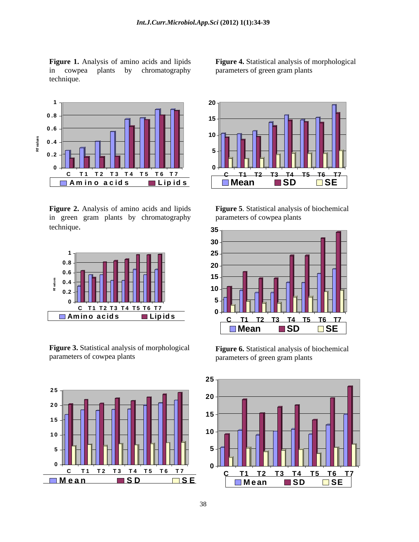technique.



**Figure 2.** Analysis of amino acids and lipids in green gram plants by chromatography



**Figure 3.** Statistical analysis of morphological parameters of cowpea plants parameters of green gram plants



**Figure 1.** Analysis of amino acids and lipids **Figure 4.** Statistical analysis of morphological in cowpea plants by chromatography parameters of green gram plants



**Figure 5**. Statistical analysis of biochemical parameters of cowpea plants



**Figure 6.** Statistical analysis of biochemical